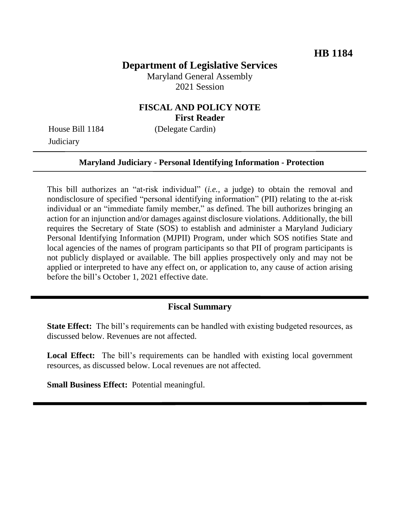# **Department of Legislative Services**

Maryland General Assembly 2021 Session

# **FISCAL AND POLICY NOTE First Reader**

**Judiciary** 

House Bill 1184 (Delegate Cardin)

#### **Maryland Judiciary - Personal Identifying Information - Protection**

This bill authorizes an "at-risk individual" (*i.e.,* a judge) to obtain the removal and nondisclosure of specified "personal identifying information" (PII) relating to the at-risk individual or an "immediate family member," as defined. The bill authorizes bringing an action for an injunction and/or damages against disclosure violations. Additionally, the bill requires the Secretary of State (SOS) to establish and administer a Maryland Judiciary Personal Identifying Information (MJPII) Program, under which SOS notifies State and local agencies of the names of program participants so that PII of program participants is not publicly displayed or available. The bill applies prospectively only and may not be applied or interpreted to have any effect on, or application to, any cause of action arising before the bill's October 1, 2021 effective date.

## **Fiscal Summary**

**State Effect:** The bill's requirements can be handled with existing budgeted resources, as discussed below. Revenues are not affected.

Local Effect: The bill's requirements can be handled with existing local government resources, as discussed below. Local revenues are not affected.

**Small Business Effect:** Potential meaningful.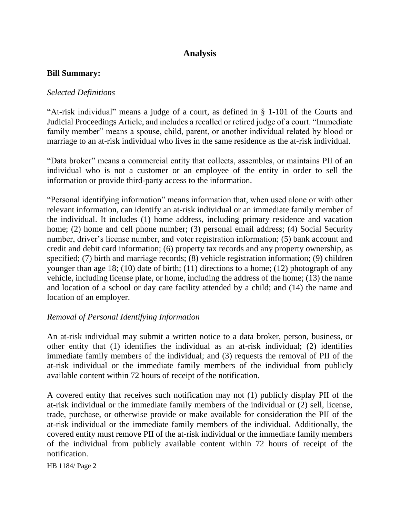# **Analysis**

#### **Bill Summary:**

### *Selected Definitions*

"At-risk individual" means a judge of a court, as defined in § 1-101 of the Courts and Judicial Proceedings Article, and includes a recalled or retired judge of a court. "Immediate family member" means a spouse, child, parent, or another individual related by blood or marriage to an at-risk individual who lives in the same residence as the at-risk individual.

"Data broker" means a commercial entity that collects, assembles, or maintains PII of an individual who is not a customer or an employee of the entity in order to sell the information or provide third-party access to the information.

"Personal identifying information" means information that, when used alone or with other relevant information, can identify an at-risk individual or an immediate family member of the individual. It includes (1) home address, including primary residence and vacation home; (2) home and cell phone number; (3) personal email address; (4) Social Security number, driver's license number, and voter registration information; (5) bank account and credit and debit card information; (6) property tax records and any property ownership, as specified; (7) birth and marriage records; (8) vehicle registration information; (9) children younger than age 18; (10) date of birth; (11) directions to a home; (12) photograph of any vehicle, including license plate, or home, including the address of the home; (13) the name and location of a school or day care facility attended by a child; and (14) the name and location of an employer.

#### *Removal of Personal Identifying Information*

An at-risk individual may submit a written notice to a data broker, person, business, or other entity that (1) identifies the individual as an at-risk individual; (2) identifies immediate family members of the individual; and (3) requests the removal of PII of the at-risk individual or the immediate family members of the individual from publicly available content within 72 hours of receipt of the notification.

A covered entity that receives such notification may not (1) publicly display PII of the at-risk individual or the immediate family members of the individual or (2) sell, license, trade, purchase, or otherwise provide or make available for consideration the PII of the at-risk individual or the immediate family members of the individual. Additionally, the covered entity must remove PII of the at-risk individual or the immediate family members of the individual from publicly available content within 72 hours of receipt of the notification.

HB 1184/ Page 2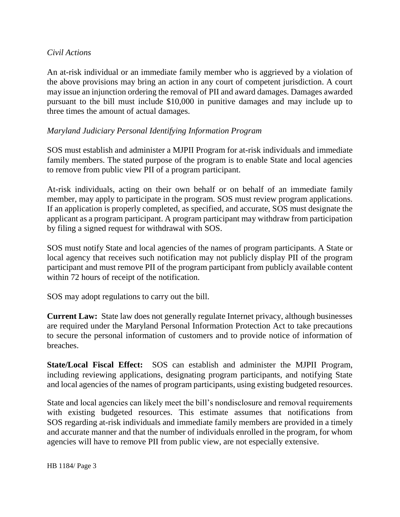### *Civil Actions*

An at-risk individual or an immediate family member who is aggrieved by a violation of the above provisions may bring an action in any court of competent jurisdiction. A court may issue an injunction ordering the removal of PII and award damages. Damages awarded pursuant to the bill must include \$10,000 in punitive damages and may include up to three times the amount of actual damages.

## *Maryland Judiciary Personal Identifying Information Program*

SOS must establish and administer a MJPII Program for at-risk individuals and immediate family members. The stated purpose of the program is to enable State and local agencies to remove from public view PII of a program participant.

At-risk individuals, acting on their own behalf or on behalf of an immediate family member, may apply to participate in the program. SOS must review program applications. If an application is properly completed, as specified, and accurate, SOS must designate the applicant as a program participant. A program participant may withdraw from participation by filing a signed request for withdrawal with SOS.

SOS must notify State and local agencies of the names of program participants. A State or local agency that receives such notification may not publicly display PII of the program participant and must remove PII of the program participant from publicly available content within 72 hours of receipt of the notification.

SOS may adopt regulations to carry out the bill.

**Current Law:** State law does not generally regulate Internet privacy, although businesses are required under the Maryland Personal Information Protection Act to take precautions to secure the personal information of customers and to provide notice of information of breaches.

**State/Local Fiscal Effect:** SOS can establish and administer the MJPII Program, including reviewing applications, designating program participants, and notifying State and local agencies of the names of program participants, using existing budgeted resources.

State and local agencies can likely meet the bill's nondisclosure and removal requirements with existing budgeted resources. This estimate assumes that notifications from SOS regarding at-risk individuals and immediate family members are provided in a timely and accurate manner and that the number of individuals enrolled in the program, for whom agencies will have to remove PII from public view, are not especially extensive.